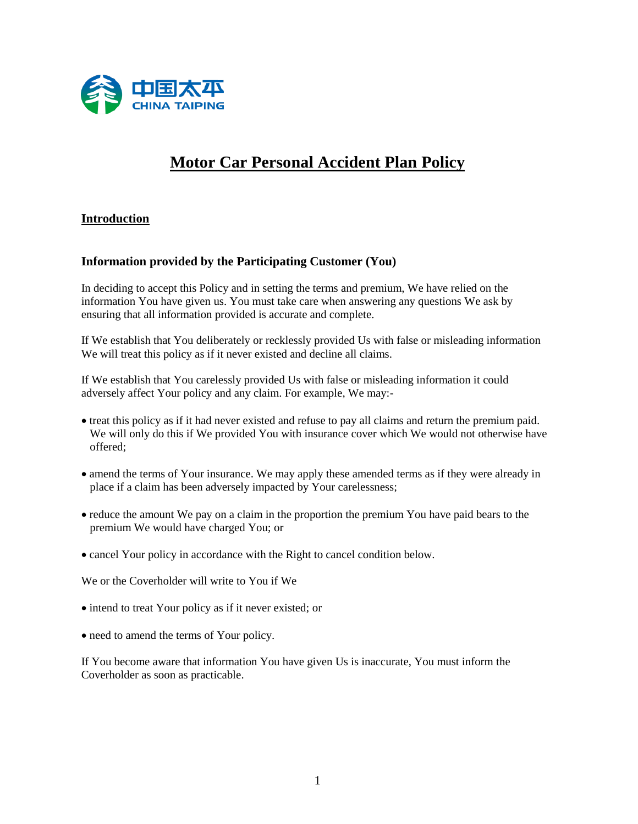

# **Motor Car Personal Accident Plan Policy**

# **Introduction**

# **Information provided by the Participating Customer (You)**

In deciding to accept this Policy and in setting the terms and premium, We have relied on the information You have given us. You must take care when answering any questions We ask by ensuring that all information provided is accurate and complete.

If We establish that You deliberately or recklessly provided Us with false or misleading information We will treat this policy as if it never existed and decline all claims.

If We establish that You carelessly provided Us with false or misleading information it could adversely affect Your policy and any claim. For example, We may:-

- treat this policy as if it had never existed and refuse to pay all claims and return the premium paid. We will only do this if We provided You with insurance cover which We would not otherwise have offered;
- amend the terms of Your insurance. We may apply these amended terms as if they were already in place if a claim has been adversely impacted by Your carelessness;
- reduce the amount We pay on a claim in the proportion the premium You have paid bears to the premium We would have charged You; or
- cancel Your policy in accordance with the Right to cancel condition below.

We or the Coverholder will write to You if We

- intend to treat Your policy as if it never existed; or
- need to amend the terms of Your policy.

If You become aware that information You have given Us is inaccurate, You must inform the Coverholder as soon as practicable.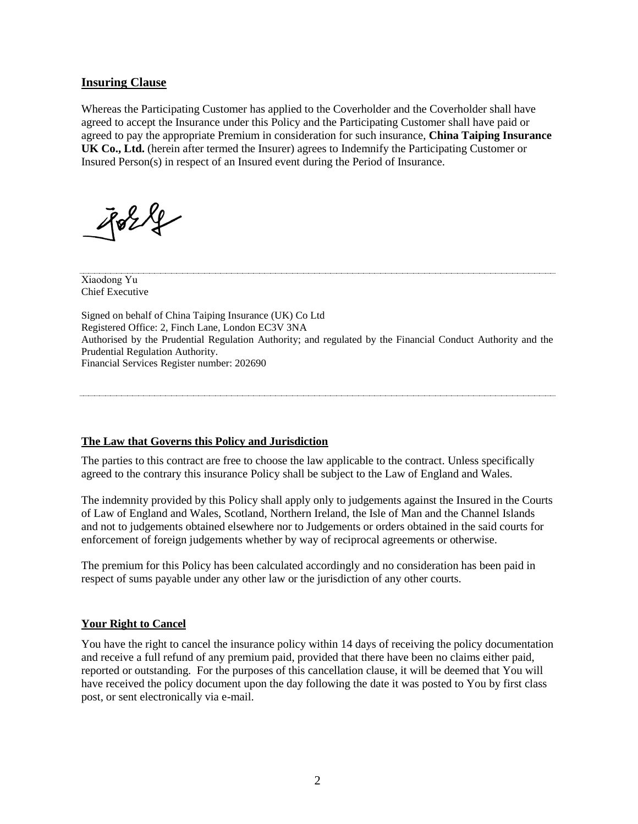## **Insuring Clause**

Whereas the Participating Customer has applied to the Coverholder and the Coverholder shall have agreed to accept the Insurance under this Policy and the Participating Customer shall have paid or agreed to pay the appropriate Premium in consideration for such insurance, **China Taiping Insurance UK Co., Ltd.** (herein after termed the Insurer) agrees to Indemnify the Participating Customer or Insured Person(s) in respect of an Insured event during the Period of Insurance.

 $824$ 

Xiaodong Yu Chief Executive

Signed on behalf of China Taiping Insurance (UK) Co Ltd Registered Office: 2, Finch Lane, London EC3V 3NA Authorised by the Prudential Regulation Authority; and regulated by the Financial Conduct Authority and the Prudential Regulation Authority. Financial Services Register number: 202690

#### **The Law that Governs this Policy and Jurisdiction**

The parties to this contract are free to choose the law applicable to the contract. Unless specifically agreed to the contrary this insurance Policy shall be subject to the Law of England and Wales.

The indemnity provided by this Policy shall apply only to judgements against the Insured in the Courts of Law of England and Wales, Scotland, Northern Ireland, the Isle of Man and the Channel Islands and not to judgements obtained elsewhere nor to Judgements or orders obtained in the said courts for enforcement of foreign judgements whether by way of reciprocal agreements or otherwise.

The premium for this Policy has been calculated accordingly and no consideration has been paid in respect of sums payable under any other law or the jurisdiction of any other courts.

#### **Your Right to Cancel**

You have the right to cancel the insurance policy within 14 days of receiving the policy documentation and receive a full refund of any premium paid, provided that there have been no claims either paid, reported or outstanding. For the purposes of this cancellation clause, it will be deemed that You will have received the policy document upon the day following the date it was posted to You by first class post, or sent electronically via e-mail.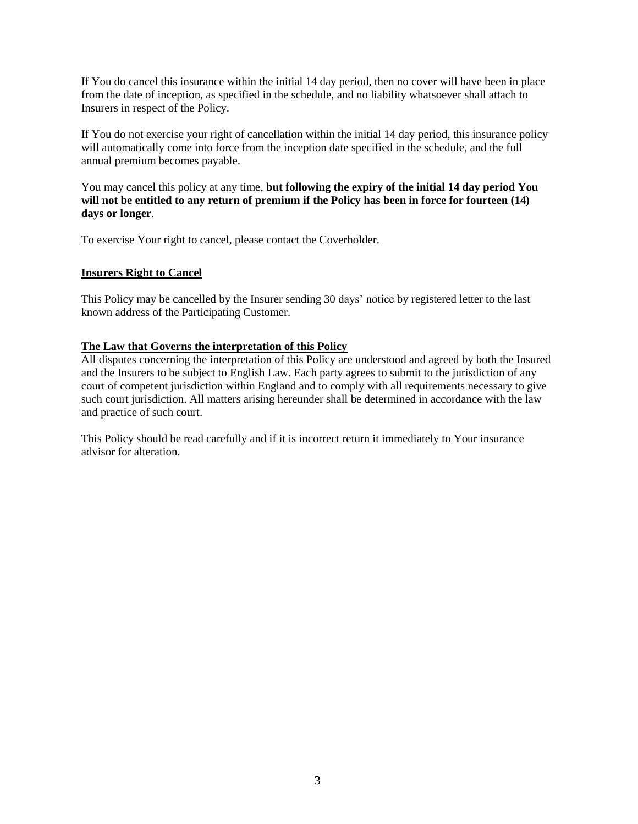If You do cancel this insurance within the initial 14 day period, then no cover will have been in place from the date of inception, as specified in the schedule, and no liability whatsoever shall attach to Insurers in respect of the Policy.

If You do not exercise your right of cancellation within the initial 14 day period, this insurance policy will automatically come into force from the inception date specified in the schedule, and the full annual premium becomes payable.

You may cancel this policy at any time, **but following the expiry of the initial 14 day period You will not be entitled to any return of premium if the Policy has been in force for fourteen (14) days or longer**.

To exercise Your right to cancel, please contact the Coverholder.

## **Insurers Right to Cancel**

This Policy may be cancelled by the Insurer sending 30 days' notice by registered letter to the last known address of the Participating Customer.

## **The Law that Governs the interpretation of this Policy**

All disputes concerning the interpretation of this Policy are understood and agreed by both the Insured and the Insurers to be subject to English Law. Each party agrees to submit to the jurisdiction of any court of competent jurisdiction within England and to comply with all requirements necessary to give such court jurisdiction. All matters arising hereunder shall be determined in accordance with the law and practice of such court.

This Policy should be read carefully and if it is incorrect return it immediately to Your insurance advisor for alteration.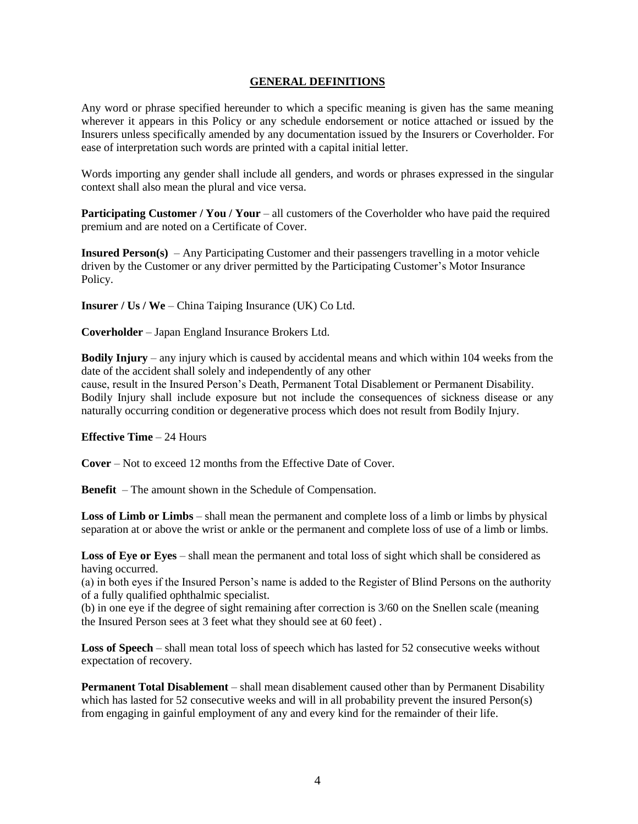#### **GENERAL DEFINITIONS**

Any word or phrase specified hereunder to which a specific meaning is given has the same meaning wherever it appears in this Policy or any schedule endorsement or notice attached or issued by the Insurers unless specifically amended by any documentation issued by the Insurers or Coverholder. For ease of interpretation such words are printed with a capital initial letter.

Words importing any gender shall include all genders, and words or phrases expressed in the singular context shall also mean the plural and vice versa.

**Participating Customer / You / Your** – all customers of the Coverholder who have paid the required premium and are noted on a Certificate of Cover.

**Insured Person(s)** – Any Participating Customer and their passengers travelling in a motor vehicle driven by the Customer or any driver permitted by the Participating Customer's Motor Insurance Policy.

**Insurer / Us / We** – China Taiping Insurance (UK) Co Ltd.

**Coverholder** – Japan England Insurance Brokers Ltd.

**Bodily Injury** – any injury which is caused by accidental means and which within 104 weeks from the date of the accident shall solely and independently of any other cause, result in the Insured Person's Death, Permanent Total Disablement or Permanent Disability. Bodily Injury shall include exposure but not include the consequences of sickness disease or any naturally occurring condition or degenerative process which does not result from Bodily Injury.

#### **Effective Time** – 24 Hours

**Cover** – Not to exceed 12 months from the Effective Date of Cover.

**Benefit** – The amount shown in the Schedule of Compensation.

**Loss of Limb or Limbs** – shall mean the permanent and complete loss of a limb or limbs by physical separation at or above the wrist or ankle or the permanent and complete loss of use of a limb or limbs.

**Loss of Eye or Eyes** – shall mean the permanent and total loss of sight which shall be considered as having occurred.

(a) in both eyes if the Insured Person's name is added to the Register of Blind Persons on the authority of a fully qualified ophthalmic specialist.

(b) in one eye if the degree of sight remaining after correction is 3/60 on the Snellen scale (meaning the Insured Person sees at 3 feet what they should see at 60 feet) .

**Loss of Speech** – shall mean total loss of speech which has lasted for 52 consecutive weeks without expectation of recovery.

**Permanent Total Disablement** – shall mean disablement caused other than by Permanent Disability which has lasted for 52 consecutive weeks and will in all probability prevent the insured Person(s) from engaging in gainful employment of any and every kind for the remainder of their life.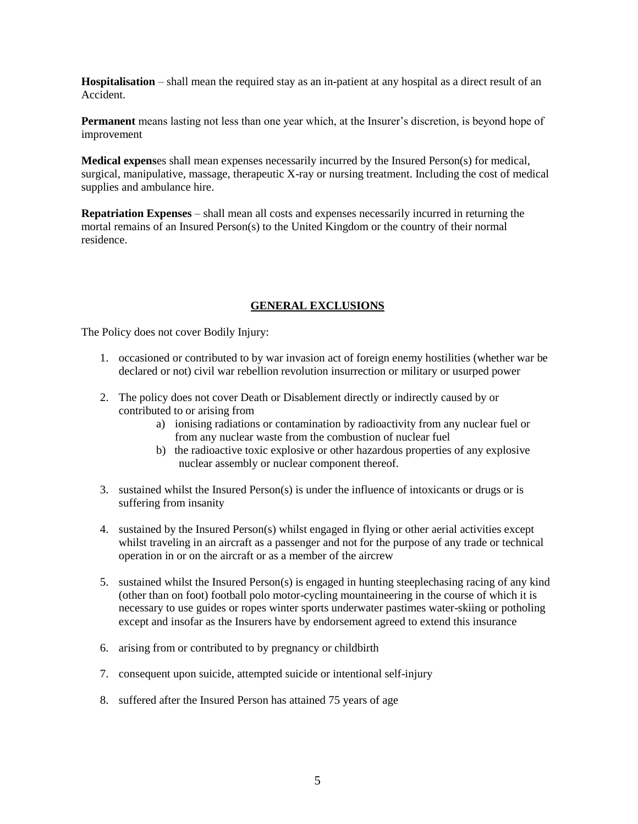**Hospitalisation** – shall mean the required stay as an in-patient at any hospital as a direct result of an Accident.

**Permanent** means lasting not less than one year which, at the Insurer's discretion, is beyond hope of improvement

**Medical expens**es shall mean expenses necessarily incurred by the Insured Person(s) for medical, surgical, manipulative, massage, therapeutic X-ray or nursing treatment. Including the cost of medical supplies and ambulance hire.

**Repatriation Expenses** – shall mean all costs and expenses necessarily incurred in returning the mortal remains of an Insured Person(s) to the United Kingdom or the country of their normal residence.

# **GENERAL EXCLUSIONS**

The Policy does not cover Bodily Injury:

- 1. occasioned or contributed to by war invasion act of foreign enemy hostilities (whether war be declared or not) civil war rebellion revolution insurrection or military or usurped power
- 2. The policy does not cover Death or Disablement directly or indirectly caused by or contributed to or arising from
	- a) ionising radiations or contamination by radioactivity from any nuclear fuel or from any nuclear waste from the combustion of nuclear fuel
	- b) the radioactive toxic explosive or other hazardous properties of any explosive nuclear assembly or nuclear component thereof.
- 3. sustained whilst the Insured Person(s) is under the influence of intoxicants or drugs or is suffering from insanity
- 4. sustained by the Insured Person(s) whilst engaged in flying or other aerial activities except whilst traveling in an aircraft as a passenger and not for the purpose of any trade or technical operation in or on the aircraft or as a member of the aircrew
- 5. sustained whilst the Insured Person(s) is engaged in hunting steeplechasing racing of any kind (other than on foot) football polo motor-cycling mountaineering in the course of which it is necessary to use guides or ropes winter sports underwater pastimes water-skiing or potholing except and insofar as the Insurers have by endorsement agreed to extend this insurance
- 6. arising from or contributed to by pregnancy or childbirth
- 7. consequent upon suicide, attempted suicide or intentional self-injury
- 8. suffered after the Insured Person has attained 75 years of age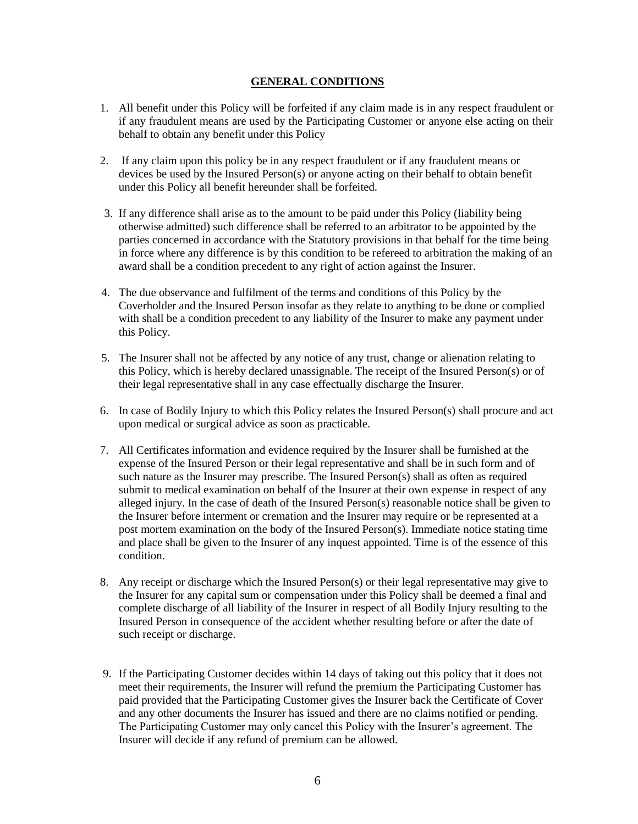## **GENERAL CONDITIONS**

- 1. All benefit under this Policy will be forfeited if any claim made is in any respect fraudulent or if any fraudulent means are used by the Participating Customer or anyone else acting on their behalf to obtain any benefit under this Policy
- 2. If any claim upon this policy be in any respect fraudulent or if any fraudulent means or devices be used by the Insured Person(s) or anyone acting on their behalf to obtain benefit under this Policy all benefit hereunder shall be forfeited.
- 3. If any difference shall arise as to the amount to be paid under this Policy (liability being otherwise admitted) such difference shall be referred to an arbitrator to be appointed by the parties concerned in accordance with the Statutory provisions in that behalf for the time being in force where any difference is by this condition to be refereed to arbitration the making of an award shall be a condition precedent to any right of action against the Insurer.
- 4. The due observance and fulfilment of the terms and conditions of this Policy by the Coverholder and the Insured Person insofar as they relate to anything to be done or complied with shall be a condition precedent to any liability of the Insurer to make any payment under this Policy.
- 5. The Insurer shall not be affected by any notice of any trust, change or alienation relating to this Policy, which is hereby declared unassignable. The receipt of the Insured Person(s) or of their legal representative shall in any case effectually discharge the Insurer.
- 6. In case of Bodily Injury to which this Policy relates the Insured Person(s) shall procure and act upon medical or surgical advice as soon as practicable.
- 7. All Certificates information and evidence required by the Insurer shall be furnished at the expense of the Insured Person or their legal representative and shall be in such form and of such nature as the Insurer may prescribe. The Insured Person(s) shall as often as required submit to medical examination on behalf of the Insurer at their own expense in respect of any alleged injury. In the case of death of the Insured Person(s) reasonable notice shall be given to the Insurer before interment or cremation and the Insurer may require or be represented at a post mortem examination on the body of the Insured Person(s). Immediate notice stating time and place shall be given to the Insurer of any inquest appointed. Time is of the essence of this condition.
- 8. Any receipt or discharge which the Insured Person(s) or their legal representative may give to the Insurer for any capital sum or compensation under this Policy shall be deemed a final and complete discharge of all liability of the Insurer in respect of all Bodily Injury resulting to the Insured Person in consequence of the accident whether resulting before or after the date of such receipt or discharge.
- 9. If the Participating Customer decides within 14 days of taking out this policy that it does not meet their requirements, the Insurer will refund the premium the Participating Customer has paid provided that the Participating Customer gives the Insurer back the Certificate of Cover and any other documents the Insurer has issued and there are no claims notified or pending. The Participating Customer may only cancel this Policy with the Insurer's agreement. The Insurer will decide if any refund of premium can be allowed.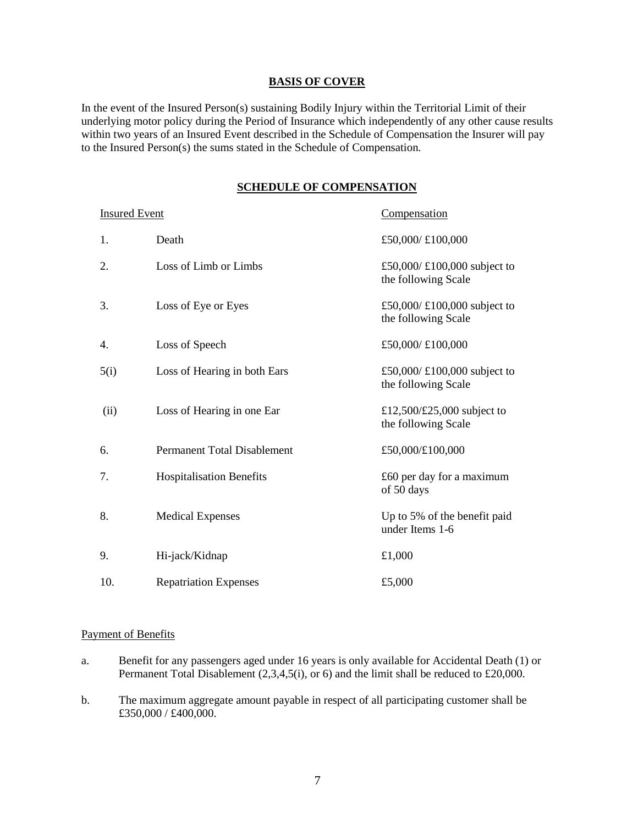#### **BASIS OF COVER**

In the event of the Insured Person(s) sustaining Bodily Injury within the Territorial Limit of their underlying motor policy during the Period of Insurance which independently of any other cause results within two years of an Insured Event described in the Schedule of Compensation the Insurer will pay to the Insured Person(s) the sums stated in the Schedule of Compensation.

#### **SCHEDULE OF COMPENSATION**

| <b>Insured Event</b> |                                    | Compensation                                       |
|----------------------|------------------------------------|----------------------------------------------------|
| 1.                   | Death                              | £50,000/£100,000                                   |
| 2.                   | Loss of Limb or Limbs              | £50,000/£100,000 subject to<br>the following Scale |
| 3.                   | Loss of Eye or Eyes                | £50,000/£100,000 subject to<br>the following Scale |
| 4.                   | Loss of Speech                     | £50,000/£100,000                                   |
| 5(i)                 | Loss of Hearing in both Ears       | £50,000/£100,000 subject to<br>the following Scale |
| (ii)                 | Loss of Hearing in one Ear         | £12,500/£25,000 subject to<br>the following Scale  |
| 6.                   | <b>Permanent Total Disablement</b> | £50,000/£100,000                                   |
| 7.                   | <b>Hospitalisation Benefits</b>    | $£60$ per day for a maximum<br>of 50 days          |
| 8.                   | <b>Medical Expenses</b>            | Up to 5% of the benefit paid<br>under Items 1-6    |
| 9.                   | Hi-jack/Kidnap                     | £1,000                                             |
| 10.                  | <b>Repatriation Expenses</b>       | £5,000                                             |

#### Payment of Benefits

- a. Benefit for any passengers aged under 16 years is only available for Accidental Death (1) or Permanent Total Disablement (2,3,4,5(i), or 6) and the limit shall be reduced to £20,000.
- b. The maximum aggregate amount payable in respect of all participating customer shall be £350,000 / £400,000.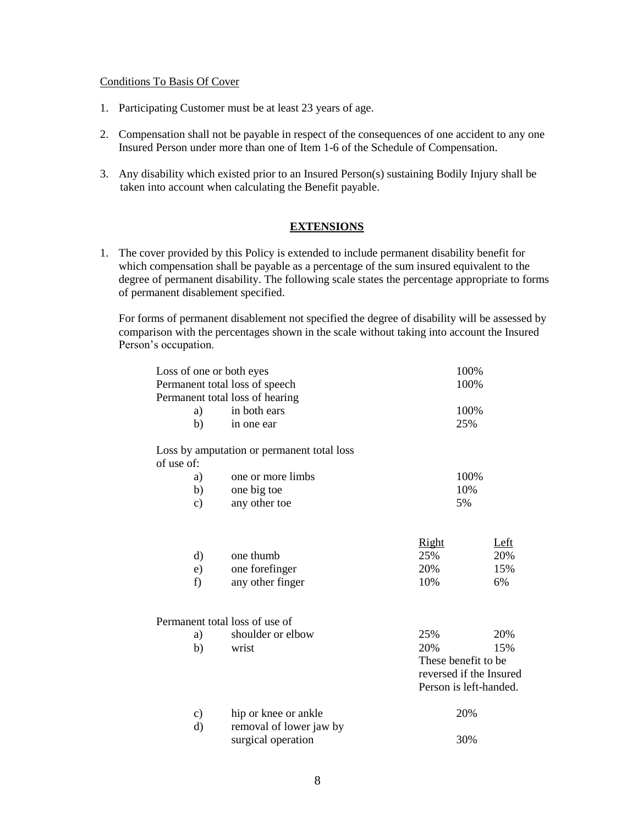#### Conditions To Basis Of Cover

- 1. Participating Customer must be at least 23 years of age.
- 2. Compensation shall not be payable in respect of the consequences of one accident to any one Insured Person under more than one of Item 1-6 of the Schedule of Compensation.
- 3. Any disability which existed prior to an Insured Person(s) sustaining Bodily Injury shall be taken into account when calculating the Benefit payable.

#### **EXTENSIONS**

1. The cover provided by this Policy is extended to include permanent disability benefit for which compensation shall be payable as a percentage of the sum insured equivalent to the degree of permanent disability. The following scale states the percentage appropriate to forms of permanent disablement specified.

For forms of permanent disablement not specified the degree of disability will be assessed by comparison with the percentages shown in the scale without taking into account the Insured Person's occupation.

| Loss of one or both eyes | Permanent total loss of speech                | 100%<br>100%        |                                                                                        |  |
|--------------------------|-----------------------------------------------|---------------------|----------------------------------------------------------------------------------------|--|
|                          | Permanent total loss of hearing               |                     |                                                                                        |  |
| a)                       | in both ears                                  | 100%                |                                                                                        |  |
| b)                       | in one ear                                    | 25%                 |                                                                                        |  |
| of use of:               | Loss by amputation or permanent total loss    |                     |                                                                                        |  |
| a)                       | one or more limbs                             | 100%                |                                                                                        |  |
| b)                       | one big toe                                   | 10%                 |                                                                                        |  |
| $\mathbf{c})$            | any other toe                                 | 5%                  |                                                                                        |  |
| d)                       | one thumb                                     | <b>Right</b><br>25% | Left<br>20%                                                                            |  |
| e)                       | one forefinger                                | 20%                 | 15%                                                                                    |  |
| f)                       | any other finger                              | 10%                 | 6%                                                                                     |  |
|                          | Permanent total loss of use of                |                     |                                                                                        |  |
|                          | shoulder or elbow                             | 25%                 | 20%                                                                                    |  |
| a)                       | wrist                                         |                     |                                                                                        |  |
| b)                       |                                               |                     | 20%<br>15%<br>These benefit to be<br>reversed if the Insured<br>Person is left-handed. |  |
| $\mathbf{c})$            | hip or knee or ankle                          | 20%                 |                                                                                        |  |
| d)                       | removal of lower jaw by<br>surgical operation | 30%                 |                                                                                        |  |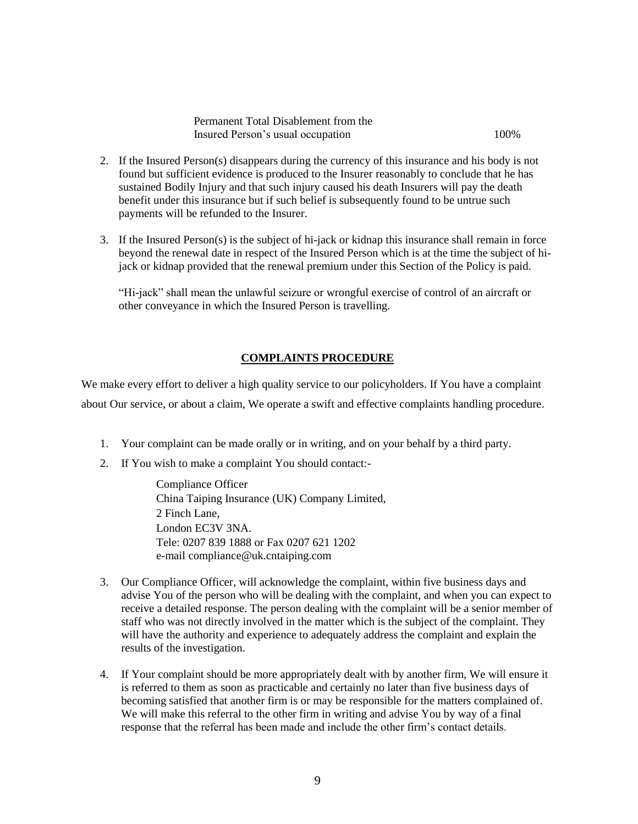| Permanent Total Disablement from the |      |
|--------------------------------------|------|
| Insured Person's usual occupation    | 100% |

- 2. If the Insured Person(s) disappears during the currency of this insurance and his body is not found but sufficient evidence is produced to the Insurer reasonably to conclude that he has sustained Bodily Injury and that such injury caused his death Insurers will pay the death benefit under this insurance but if such belief is subsequently found to be untrue such payments will be refunded to the Insurer.
- 3. If the Insured Person(s) is the subject of hi-jack or kidnap this insurance shall remain in force beyond the renewal date in respect of the Insured Person which is at the time the subject of hijack or kidnap provided that the renewal premium under this Section of the Policy is paid.

"Hi-jack" shall mean the unlawful seizure or wrongful exercise of control of an aircraft or other conveyance in which the Insured Person is travelling.

## **COMPLAINTS PROCEDURE**

We make every effort to deliver a high quality service to our policyholders. If You have a complaint about Our service, or about a claim, We operate a swift and effective complaints handling procedure.

- 1. Your complaint can be made orally or in writing, and on your behalf by a third party.
- 2. If You wish to make a complaint You should contact:-

Compliance Officer China Taiping Insurance (UK) Company Limited, 2 Finch Lane, London EC3V 3NA. Tele: 0207 839 1888 or Fax 0207 621 1202 e-mail compliance@uk.cntaiping.com

- 3. Our Compliance Officer, will acknowledge the complaint, within five business days and advise You of the person who will be dealing with the complaint, and when you can expect to receive a detailed response. The person dealing with the complaint will be a senior member of staff who was not directly involved in the matter which is the subject of the complaint. They will have the authority and experience to adequately address the complaint and explain the results of the investigation.
- 4. If Your complaint should be more appropriately dealt with by another firm, We will ensure it is referred to them as soon as practicable and certainly no later than five business days of becoming satisfied that another firm is or may be responsible for the matters complained of. We will make this referral to the other firm in writing and advise You by way of a final response that the referral has been made and include the other firm's contact details.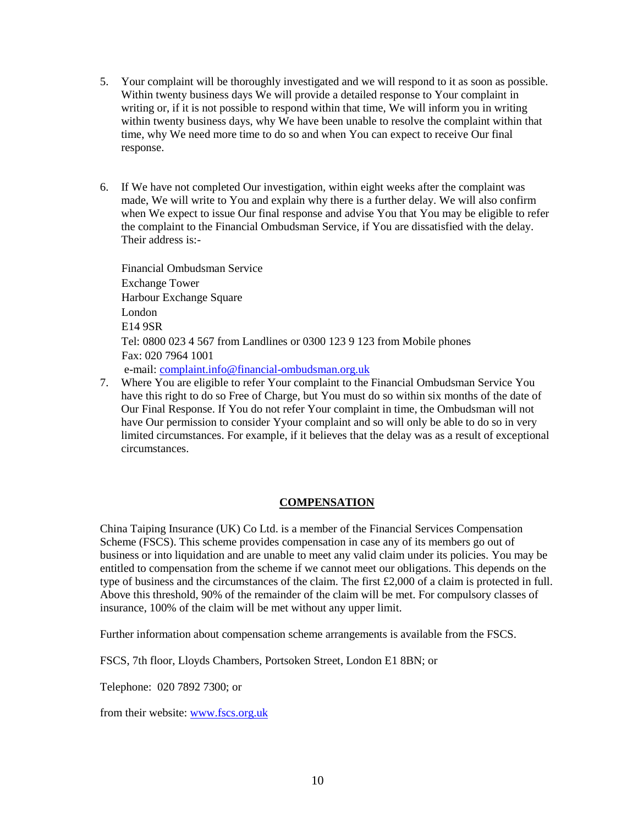- 5. Your complaint will be thoroughly investigated and we will respond to it as soon as possible. Within twenty business days We will provide a detailed response to Your complaint in writing or, if it is not possible to respond within that time, We will inform you in writing within twenty business days, why We have been unable to resolve the complaint within that time, why We need more time to do so and when You can expect to receive Our final response.
- 6. If We have not completed Our investigation, within eight weeks after the complaint was made, We will write to You and explain why there is a further delay. We will also confirm when We expect to issue Our final response and advise You that You may be eligible to refer the complaint to the Financial Ombudsman Service, if You are dissatisfied with the delay. Their address is:-

 Financial Ombudsman Service Exchange Tower Harbour Exchange Square London E14 9SR Tel: 0800 023 4 567 from Landlines or 0300 123 9 123 from Mobile phones Fax: 020 7964 1001 e-mail: [complaint.info@financial-ombudsman.org.uk](mailto:complaint.info@financial-ombudsman.org.uk)

7. Where You are eligible to refer Your complaint to the Financial Ombudsman Service You have this right to do so Free of Charge, but You must do so within six months of the date of Our Final Response. If You do not refer Your complaint in time, the Ombudsman will not have Our permission to consider Yyour complaint and so will only be able to do so in very limited circumstances. For example, if it believes that the delay was as a result of exceptional circumstances.

# **COMPENSATION**

China Taiping Insurance (UK) Co Ltd. is a member of the Financial Services Compensation Scheme (FSCS). This scheme provides compensation in case any of its members go out of business or into liquidation and are unable to meet any valid claim under its policies. You may be entitled to compensation from the scheme if we cannot meet our obligations. This depends on the type of business and the circumstances of the claim. The first £2,000 of a claim is protected in full. Above this threshold, 90% of the remainder of the claim will be met. For compulsory classes of insurance, 100% of the claim will be met without any upper limit.

Further information about compensation scheme arrangements is available from the FSCS.

FSCS, 7th floor, Lloyds Chambers, Portsoken Street, London E1 8BN; or

Telephone: 020 7892 7300; or

from their website: [www.fscs.org.uk](http://www.fscs.org.uk/)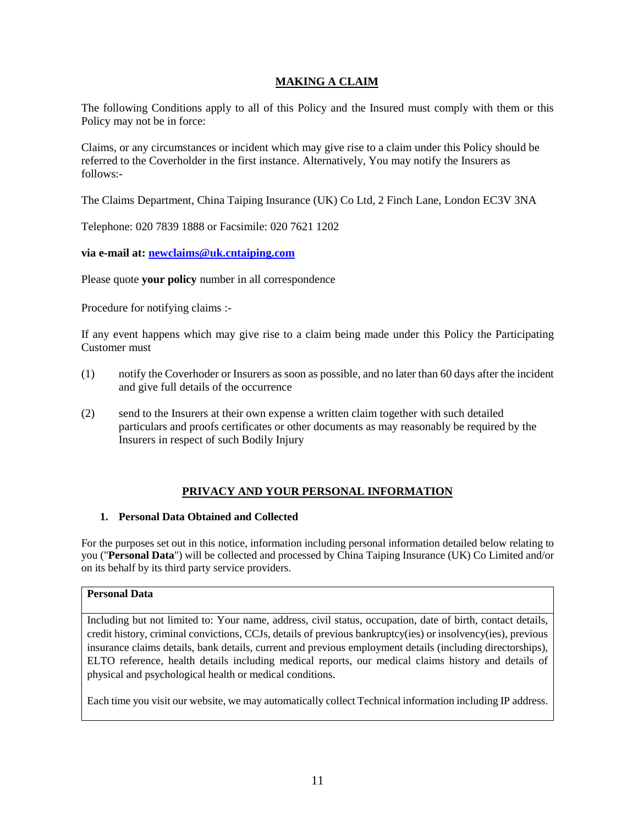# **MAKING A CLAIM**

The following Conditions apply to all of this Policy and the Insured must comply with them or this Policy may not be in force:

Claims, or any circumstances or incident which may give rise to a claim under this Policy should be referred to the Coverholder in the first instance. Alternatively, You may notify the Insurers as follows:-

The Claims Department, China Taiping Insurance (UK) Co Ltd, 2 Finch Lane, London EC3V 3NA

Telephone: 020 7839 1888 or Facsimile: 020 7621 1202

**via e-mail at: [newclaims@uk.cntaiping.com](mailto:newclaims@uk.cntaiping.com)**

Please quote **your policy** number in all correspondence

Procedure for notifying claims :-

If any event happens which may give rise to a claim being made under this Policy the Participating Customer must

- (1) notify the Coverhoder or Insurers as soon as possible, and no later than 60 days after the incident and give full details of the occurrence
- (2) send to the Insurers at their own expense a written claim together with such detailed particulars and proofs certificates or other documents as may reasonably be required by the Insurers in respect of such Bodily Injury

# **PRIVACY AND YOUR PERSONAL INFORMATION**

#### **1. Personal Data Obtained and Collected**

For the purposes set out in this notice, information including personal information detailed below relating to you ("**Personal Data**") will be collected and processed by China Taiping Insurance (UK) Co Limited and/or on its behalf by its third party service providers.

## **Personal Data**

Including but not limited to: Your name, address, civil status, occupation, date of birth, contact details, credit history, criminal convictions, CCJs, details of previous bankruptcy(ies) or insolvency(ies), previous insurance claims details, bank details, current and previous employment details (including directorships), ELTO reference, health details including medical reports, our medical claims history and details of physical and psychological health or medical conditions.

Each time you visit our website, we may automatically collect Technical information including IP address.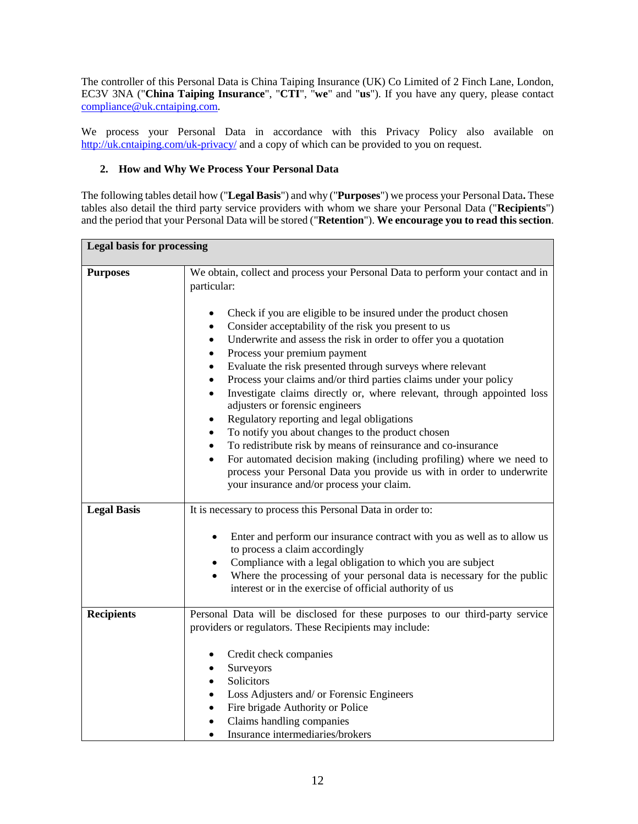The controller of this Personal Data is China Taiping Insurance (UK) Co Limited of 2 Finch Lane, London, EC3V 3NA ("**China Taiping Insurance**", "**CTI**", "**we**" and "**us**"). If you have any query, please contact [compliance@uk.cntaiping.com.](mailto:compliance@uk.cntaiping.com)

We process your Personal Data in accordance with this Privacy Policy also available on <http://uk.cntaiping.com/uk-privacy/> and a copy of which can be provided to you on request.

# **2. How and Why We Process Your Personal Data**

The following tables detail how ("**Legal Basis**") and why ("**Purposes**") we process your Personal Data**.** These tables also detail the third party service providers with whom we share your Personal Data ("**Recipients**") and the period that your Personal Data will be stored ("**Retention**"). **We encourage you to read this section**.

| <b>Legal basis for processing</b> |                                                                                                                                                                                                                                                                                                                                                                                                                                                                                                                                                                                                                                                                                                                                                                                                                                                                                                                                                                                            |
|-----------------------------------|--------------------------------------------------------------------------------------------------------------------------------------------------------------------------------------------------------------------------------------------------------------------------------------------------------------------------------------------------------------------------------------------------------------------------------------------------------------------------------------------------------------------------------------------------------------------------------------------------------------------------------------------------------------------------------------------------------------------------------------------------------------------------------------------------------------------------------------------------------------------------------------------------------------------------------------------------------------------------------------------|
| <b>Purposes</b>                   | We obtain, collect and process your Personal Data to perform your contact and in<br>particular:<br>Check if you are eligible to be insured under the product chosen<br>Consider acceptability of the risk you present to us<br>Underwrite and assess the risk in order to offer you a quotation<br>Process your premium payment<br>Evaluate the risk presented through surveys where relevant<br>Process your claims and/or third parties claims under your policy<br>Investigate claims directly or, where relevant, through appointed loss<br>٠<br>adjusters or forensic engineers<br>Regulatory reporting and legal obligations<br>$\bullet$<br>To notify you about changes to the product chosen<br>٠<br>To redistribute risk by means of reinsurance and co-insurance<br>٠<br>For automated decision making (including profiling) where we need to<br>$\bullet$<br>process your Personal Data you provide us with in order to underwrite<br>your insurance and/or process your claim. |
| <b>Legal Basis</b>                | It is necessary to process this Personal Data in order to:<br>Enter and perform our insurance contract with you as well as to allow us<br>$\bullet$<br>to process a claim accordingly<br>Compliance with a legal obligation to which you are subject<br>$\bullet$<br>Where the processing of your personal data is necessary for the public<br>interest or in the exercise of official authority of us                                                                                                                                                                                                                                                                                                                                                                                                                                                                                                                                                                                     |
| <b>Recipients</b>                 | Personal Data will be disclosed for these purposes to our third-party service<br>providers or regulators. These Recipients may include:<br>Credit check companies<br>Surveyors<br>Solicitors<br>Loss Adjusters and/ or Forensic Engineers<br>Fire brigade Authority or Police<br>Claims handling companies<br>Insurance intermediaries/brokers                                                                                                                                                                                                                                                                                                                                                                                                                                                                                                                                                                                                                                             |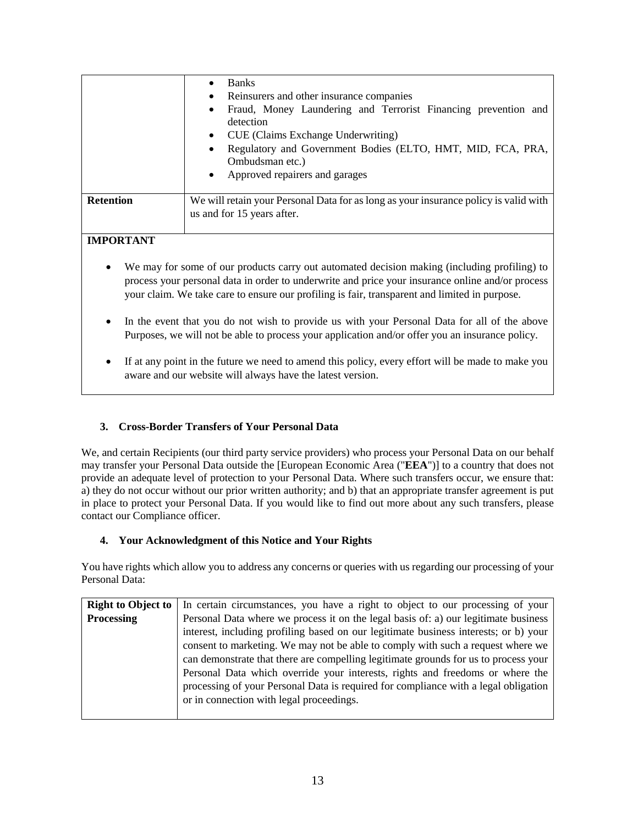|                  | <b>Banks</b><br>Reinsurers and other insurance companies<br>٠<br>Fraud, Money Laundering and Terrorist Financing prevention and<br>detection           |
|------------------|--------------------------------------------------------------------------------------------------------------------------------------------------------|
|                  | CUE (Claims Exchange Underwriting)<br>Regulatory and Government Bodies (ELTO, HMT, MID, FCA, PRA,<br>Ombudsman etc.)<br>Approved repairers and garages |
| <b>Retention</b> | We will retain your Personal Data for as long as your insurance policy is valid with<br>us and for 15 years after.                                     |
| <b>IMPORTANT</b> |                                                                                                                                                        |

- We may for some of our products carry out automated decision making (including profiling) to process your personal data in order to underwrite and price your insurance online and/or process your claim. We take care to ensure our profiling is fair, transparent and limited in purpose.
- In the event that you do not wish to provide us with your Personal Data for all of the above Purposes, we will not be able to process your application and/or offer you an insurance policy.
- If at any point in the future we need to amend this policy, every effort will be made to make you aware and our website will always have the latest version.

# **3. Cross-Border Transfers of Your Personal Data**

We, and certain Recipients (our third party service providers) who process your Personal Data on our behalf may transfer your Personal Data outside the [European Economic Area ("**EEA**")] to a country that does not provide an adequate level of protection to your Personal Data. Where such transfers occur, we ensure that: a) they do not occur without our prior written authority; and b) that an appropriate transfer agreement is put in place to protect your Personal Data. If you would like to find out more about any such transfers, please contact our Compliance officer.

# **4. Your Acknowledgment of this Notice and Your Rights**

You have rights which allow you to address any concerns or queries with us regarding our processing of your Personal Data:

| <b>Right to Object to</b> | In certain circumstances, you have a right to object to our processing of your       |
|---------------------------|--------------------------------------------------------------------------------------|
| <b>Processing</b>         | Personal Data where we process it on the legal basis of: a) our legitimate business  |
|                           | interest, including profiling based on our legitimate business interests; or b) your |
|                           | consent to marketing. We may not be able to comply with such a request where we      |
|                           | can demonstrate that there are compelling legitimate grounds for us to process your  |
|                           | Personal Data which override your interests, rights and freedoms or where the        |
|                           | processing of your Personal Data is required for compliance with a legal obligation  |
|                           | or in connection with legal proceedings.                                             |
|                           |                                                                                      |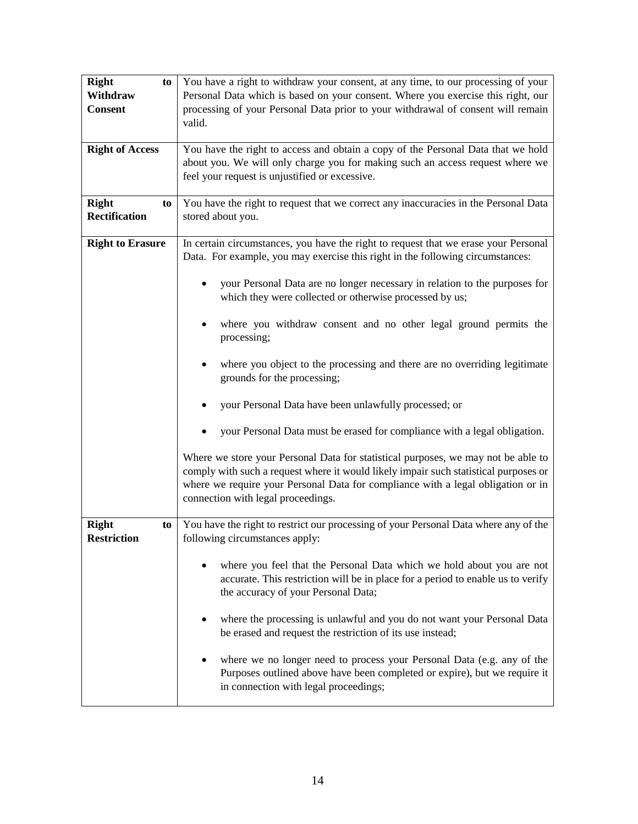| <b>Right</b><br>to                       | You have a right to withdraw your consent, at any time, to our processing of your                                                                                                                                                                                                                   |
|------------------------------------------|-----------------------------------------------------------------------------------------------------------------------------------------------------------------------------------------------------------------------------------------------------------------------------------------------------|
| Withdraw<br><b>Consent</b>               | Personal Data which is based on your consent. Where you exercise this right, our<br>processing of your Personal Data prior to your withdrawal of consent will remain                                                                                                                                |
|                                          | valid.                                                                                                                                                                                                                                                                                              |
| <b>Right of Access</b>                   | You have the right to access and obtain a copy of the Personal Data that we hold                                                                                                                                                                                                                    |
|                                          | about you. We will only charge you for making such an access request where we<br>feel your request is unjustified or excessive.                                                                                                                                                                     |
| <b>Right</b><br>to                       | You have the right to request that we correct any inaccuracies in the Personal Data                                                                                                                                                                                                                 |
| Rectification                            | stored about you.                                                                                                                                                                                                                                                                                   |
| <b>Right to Erasure</b>                  | In certain circumstances, you have the right to request that we erase your Personal<br>Data. For example, you may exercise this right in the following circumstances:                                                                                                                               |
|                                          | your Personal Data are no longer necessary in relation to the purposes for<br>which they were collected or otherwise processed by us;                                                                                                                                                               |
|                                          | where you withdraw consent and no other legal ground permits the<br>processing;                                                                                                                                                                                                                     |
|                                          | where you object to the processing and there are no overriding legitimate<br>grounds for the processing;                                                                                                                                                                                            |
|                                          | your Personal Data have been unlawfully processed; or                                                                                                                                                                                                                                               |
|                                          | your Personal Data must be erased for compliance with a legal obligation.                                                                                                                                                                                                                           |
|                                          | Where we store your Personal Data for statistical purposes, we may not be able to<br>comply with such a request where it would likely impair such statistical purposes or<br>where we require your Personal Data for compliance with a legal obligation or in<br>connection with legal proceedings. |
| <b>Right</b><br>to<br><b>Restriction</b> | You have the right to restrict our processing of your Personal Data where any of the<br>following circumstances apply:                                                                                                                                                                              |
|                                          | where you feel that the Personal Data which we hold about you are not<br>accurate. This restriction will be in place for a period to enable us to verify<br>the accuracy of your Personal Data;                                                                                                     |
|                                          | where the processing is unlawful and you do not want your Personal Data<br>be erased and request the restriction of its use instead;                                                                                                                                                                |
|                                          | where we no longer need to process your Personal Data (e.g. any of the<br>Purposes outlined above have been completed or expire), but we require it<br>in connection with legal proceedings;                                                                                                        |